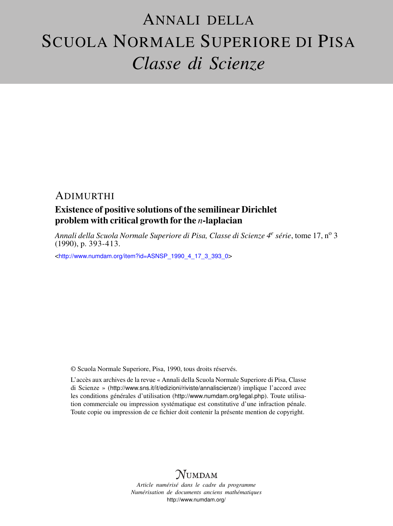# ANNALI DELLA SCUOLA NORMALE SUPERIORE DI PISA *Classe di Scienze*

## ADIMURTHI

# Existence of positive solutions of the semilinear Dirichlet problem with critical growth for the *n*-laplacian

*Annali della Scuola Normale Superiore di Pisa, Classe di Scienze 4<sup>e</sup> série*, tome 17, n<sup>o</sup> 3 (1990), p. 393-413.

<[http://www.numdam.org/item?id=ASNSP\\_1990\\_4\\_17\\_3\\_393\\_0](http://www.numdam.org/item?id=ASNSP_1990_4_17_3_393_0)>

© Scuola Normale Superiore, Pisa, 1990, tous droits réservés.

L'accès aux archives de la revue « Annali della Scuola Normale Superiore di Pisa, Classe di Scienze » (<http://www.sns.it/it/edizioni/riviste/annaliscienze/>) implique l'accord avec les conditions générales d'utilisation (<http://www.numdam.org/legal.php>). Toute utilisation commerciale ou impression systématique est constitutive d'une infraction pénale. Toute copie ou impression de ce fichier doit contenir la présente mention de copyright.

# **NUMDAM**

*Article numérisé dans le cadre du programme Numérisation de documents anciens mathématiques* <http://www.numdam.org/>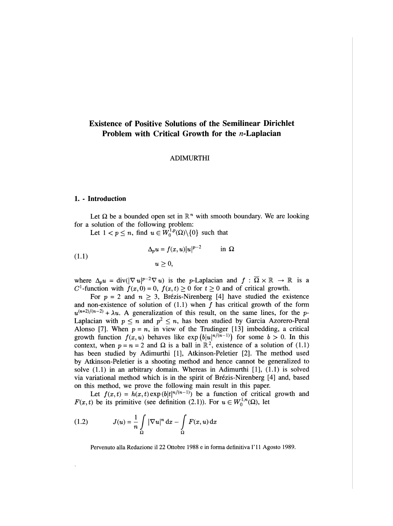### Existence of Positive Solutions of the Semilinear Dirichlet Problem with Critical Growth for the *n*-Laplacian

#### ADIMURTHI

#### 1. - Introduction

Let  $\Omega$  be a bounded open set in  $\mathbb{R}^n$  with smooth boundary. We are looking for a solution of the following problem:

Let  $1 < p \leq n$ , find  $u \in W_0^{1,p}(\Omega) \setminus \{0\}$  such that

(1.1) 
$$
\Delta_p u = f(x, u)|u|^{p-2} \quad \text{in } \Omega
$$

$$
u \ge 0,
$$

where  $\Delta_p u = \text{div}(|\nabla u|^{p-2} \nabla u)$  is the p-Laplacian and  $f : \overline{\Omega} \times \mathbb{R} \to \mathbb{R}$  is a  $C^1$ -function with  $f(x, 0) = 0$ ,  $f(x, t) \ge 0$  for  $t \ge 0$  and of critical growth.

For  $p = 2$  and  $n \ge 3$ , Brézis-Nirenberg [4] have studied the existence and non-existence of solution of  $(1.1)$  when f has critical growth of the form  $u^{(n+2)/(n-2)} + \lambda u$ . A generalization of this result, on the same lines, for the p-Laplacian with  $p \le n$  and  $p^2 \le n$ , has been studied by Garcia Azorero-Peral Alonso [7]. When  $p = n$ , in view of the Trudinger [13] imbedding, a critical growth function  $f(x, u)$  behaves like  $\exp(b|u|^{n/(n-1)})$  for some  $b > 0$ . In this context, when  $p = n = 2$  and  $\Omega$  is a ball in  $\mathbb{R}^2$ , existence of a solution of (1.1) has been studied by Adimurthi [1], Atkinson-Peletier [2]. The method used by Atkinson-Peletier is a shooting method and hence cannot be generalized to solve  $(1.1)$  in an arbitrary domain. Whereas in Adimurthi  $[1]$ ,  $(1.1)$  is solved via variational method which is in the spirit of Brezis-Nirenberg [4] and, based on this method, we prove the following main result in this paper.

Let  $f(x, t) = h(x, t) \exp(b|t|^{n/(n-1)})$  be a function of critical growth and  $F(x, t)$  be its primitive (see definition (2.1)). For  $u \in W_0^{1,n}(\Omega)$ , let

(1.2) 
$$
J(u) = \frac{1}{n} \int_{\Omega} |\nabla u|^n dx - \int_{\Omega} F(x, u) dx
$$

Pervenuto alla Redazione il 22 Ottobre 1988 e in forma definitiva l' 11 Agosto 1989.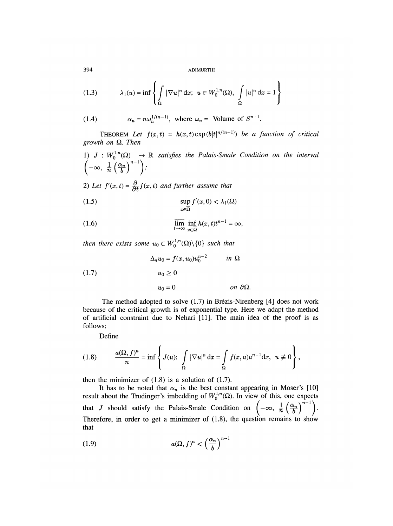$$
(1.3) \qquad \lambda_1(u) = \inf \left\{ \int_{\Omega} |\nabla u|^n \, \mathrm{d}x; \ u \in W_0^{1,n}(\Omega), \int_{\Omega} |u|^n \, \mathrm{d}x = 1 \right\}
$$

(1.4) 
$$
\alpha_n = n\omega_n^{1/(n-1)}, \text{ where } \omega_n = \text{ Volume of } S^{n-1}
$$

THEOREM Let  $f(x,t) = h(x,t) \exp(b|t|^{n/(n-1)})$  be a function of critical growth on  $\Omega$ . Then

1) 
$$
J: W_0^{1,n}(\Omega) \to \mathbb{R}
$$
 satisfies the Palais-Smale Condition on the interval  $\left(-\infty, \frac{1}{n} \left(\frac{\alpha_n}{b}\right)^{n-1}\right)$ ;

2) Let  $f'(x,t) = \frac{\partial}{\partial t} f(x,t)$  and further assume that

(1.5) 
$$
\sup_{x \in \overline{\Omega}} f'(x, 0) < \lambda_1(\Omega)
$$

(1.6) 
$$
\overline{\lim}_{t \to \infty} \inf_{x \in \overline{\Omega}} h(x, t) t^{n-1} = \infty,
$$

then there exists some  $u_0 \in W_0^{1,n}(\Omega) \setminus \{0\}$  such that

(1.7) 
$$
\Delta_n u_0 = f(x, u_0) u_0^{n-2} \quad in \ \Omega
$$

$$
u_0 \ge 0
$$

$$
u_0 = 0 \quad on \ \partial\Omega.
$$

The method adopted to solve  $(1.7)$  in Brézis-Nirenberg  $[4]$  does not work because of the critical growth is of exponential type. Here we adapt the method of artificial constraint due to Nehari [11]. The main idea of the proof is as follows:

Define

$$
(1.8) \qquad \frac{a(\Omega, f)^n}{n} = \inf \left\{ J(u); \int_{\Omega} |\nabla u|^n dx = \int_{\Omega} f(x, u) u^{n-1} dx, u \neq 0 \right\},
$$

then the minimizer of  $(1.8)$  is a solution of  $(1.7)$ .

It has to be noted that  $\alpha_n$  is the best constant appearing in Moser's [10] result about the Trudinger's imbedding of  $W_0^{1,n}(\Omega)$ . In view of this, one expects that J should satisfy the Palais-Smale Condition on  $\left(-\infty, \frac{1}{n} \left(\frac{\alpha_n}{b}\right)^{n-1}\right)$ . Therefore, in order to get a minimizer of  $(1.8)$ , the question remains to show that

(1.9) 
$$
a(\Omega, f)^n < \left(\frac{\alpha_n}{b}\right)^{n-1}
$$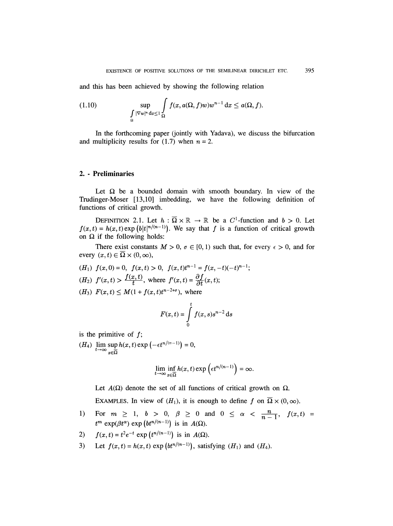395

and this has been achieved by showing the following relation

(1.10) 
$$
\sup_{\Omega} \int_{\Omega} f(x, a(\Omega, f)w)w^{n-1} dx \leq a(\Omega, f).
$$

In the forthcoming paper (jointly with Yadava), we discuss the bifurcation and multiplicity results for  $(1.7)$  when  $n = 2$ .

#### 2. - Preliminaries

Let  $\Omega$  be a bounded domain with smooth boundary. In view of the Trudinger-Moser [13,10] imbedding, we have the following definition of functions of critical growth.

DEFINITION 2.1. Let  $h : \overline{\Omega} \times \mathbb{R} \to \mathbb{R}$  be a  $C^1$ -function and  $b > 0$ . Let  $f(x, t) = h(x, t) \exp (b|t|^{n/(n-1)})$ . We say that f is a function of critical growth on  $\Omega$  if the following holds:

There exist constants  $M > 0$ ,  $\sigma \in [0, 1)$  such that, for every  $\epsilon > 0$ , and for every  $(x, t) \in \overline{\Omega} \times (0, \infty)$ ,

 $(H_1)$   $f(x, 0) = 0$ ,  $f(x,t) > 0$ ,  $f(x,t)t^{n-1} = f(x,-t)(-t)^{n-1}$ ;  $(H_2)$   $f'(x,t) > \frac{f(x,t)}{t}$ , where  $f'(x,t) = \frac{\partial f}{\partial t}(x,t);$  $(H_3)$   $F(x,t) \leq M(1 + f(x,t)t^{n-2+\sigma})$ , where

$$
F(x,t) = \int\limits_0^t f(x,s)s^{n-2} \,\mathrm{d} s
$$

is the primitive of  $f$ ;

(H<sub>4</sub>)  $\lim_{t \to \infty} \sup_{x \in \overline{\Omega}} h(x, t) \exp \left(-\epsilon t^{n/(n-1)}\right) = 0,$ 

$$
\lim_{t\to\infty}\inf_{x\in\overline{\Omega}}h(x,t)\exp\left(\epsilon t^{n/(n-1)}\right)=\infty.
$$

Let  $A(\Omega)$  denote the set of all functions of critical growth on  $\Omega$ . EXAMPLES. In view of  $(H_1)$ , it is enough to define f on  $\overline{\Omega} \times (0, \infty)$ .

For  $m \ge 1$ ,  $b > 0$ ,  $\beta \ge 0$  and  $0 \le \alpha < \frac{n}{n-1}$ ,  $f(x,t) =$  $1)$  $t^m$  exp( $\beta t^{\alpha}$ ) exp( $bt^{n/(n-1)}$ ) is in  $A(\Omega)$ .

2) 
$$
f(x,t) = t^2 e^{-t} \exp(t^{n/(n-1)})
$$
 is in  $A(\Omega)$ .

Let  $f(x, t) = h(x, t) \exp\left(bt^{n/(n-1)}\right)$ , satisfying  $(H_1)$  and  $(H_4)$ .  $3)$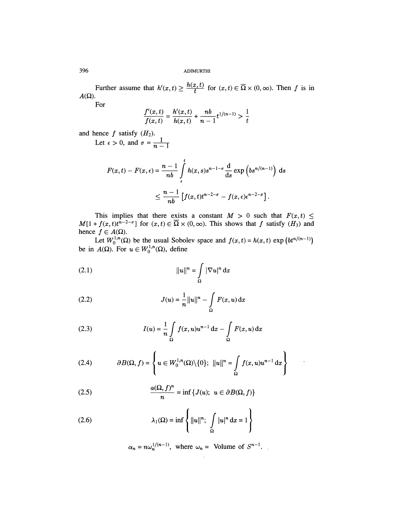Further assume that  $h'(x,t) \ge \frac{h(x,t)}{t}$  for  $(x,t) \in \overline{\Omega} \times (0,\infty)$ . Then f is in  $A(\Omega)$ .

For

$$
\frac{f'(x,t)}{f(x,t)} = \frac{h'(x,t)}{h(x,t)} + \frac{nb}{n-1}t^{1/(n-1)} > \frac{1}{t}
$$

and hence f satisfy  $(H_2)$ .

$$
F(x,t) - F(x,\epsilon) = \frac{n-1}{nb} \int_{\epsilon}^{t} h(x,s)s^{n-1-\sigma} \frac{d}{ds} \exp\left(b s^{n/(n-1)}\right) ds
$$
  

$$
\leq \frac{n-1}{nb} \left[ f(x,t)t^{n-2-\sigma} - f(x,\epsilon) \epsilon^{n-2-\sigma} \right].
$$

This implies that there exists a constant  $M > 0$  such that  $F(x, t)$  $M[1 + f(x, t)t^{n-2-\sigma}]$  for  $(x, t) \in \Omega \times (0, \infty)$ . This shows that f satisfy  $(H_3)$  and hence  $f \in A(\Omega)$ .

Let  $W_0^{1,n}(\Omega)$  be the usual Sobolev space and  $f(x, t) = h(x, t)$  exp (i.e. be in  $A(\Omega)$ . For  $u \in W_0^{1,n}(\Omega)$ , define

(2.1) 
$$
||u||^{n} = \int_{\Omega} |\nabla u|^{n} dx
$$

(2.2) 
$$
J(u) = \frac{1}{n} ||u||^{n} - \int_{\Omega} F(x, u) dx
$$

(2.3) 
$$
I(u) = \frac{1}{n} \int_{\Omega} f(x, u) u^{n-1} dx - \int_{\Omega} F(x, u) dx
$$

(2.4) 
$$
\partial B(\Omega, f) = \left\{ u \in W_0^{1,n}(\Omega) \setminus \{0\}; \ ||u\|^n = \int_{\Omega} f(x, u) u^{n-1} dx \right\}
$$

 $\ddot{\phantom{0}}$ 

(2.5) 
$$
\frac{a(\Omega, f)^n}{n} = \inf \{ J(u); \ u \in \partial B(\Omega, f) \}
$$

(2.6) 
$$
\lambda_1(\Omega) = \inf \left\{ ||u||^n; \int_{\Omega} |u|^n dx = 1 \right\}
$$

$$
\alpha_n = n\omega_n^{1/(n-1)}
$$
, where  $\omega_n$  = Volume of  $S^{n-1}$ .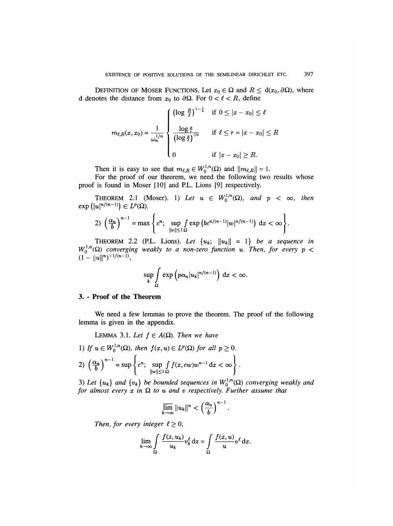DEFINITION OF MOSER FUNCTIONS. Let  $x_0 \in \Omega$  and  $R \leq d(x_0, \partial \Omega)$ , where d denotes the distance from  $x_0$  to  $\partial\Omega$ . For  $0 < \ell < R$ , define

$$
m_{\ell,R}(x,x_0) = \frac{1}{\omega_n^{1/n}} \begin{cases} \left(\log \frac{R}{\ell}\right)^{1-\frac{1}{n}} & \text{if } 0 \le |x-x_0| \le \ell \\ \\ \frac{\log \frac{R}{\ell}}{\left(\log \frac{R}{\ell}\right)^{1/n}} & \text{if } \ell \le r = |x-x_0| \le R \\ 0 & \text{if } |x-x_0| \ge R. \end{cases}
$$

Then it is easy to see that  $m_{\ell,R} \in W_0^{1,n}(\Omega)$  and  $||m_{\ell,R}|| = 1$ .

For the proof of our theorem, we need the following two results whose proof is found in Moser [10] and P.L. Lions [9] respectively.

THEOREM 2.1 (Moser). 1) Let  $u \in W_0^{1,n}(\Omega)$ , and  $p < \infty$ , then  $\exp\left(|u|^{n/(n-1)}\right) \in L^p(\Omega)$ .

$$
2)\left(\frac{\alpha_n}{b}\right)^{n-1}=\max\left\{c^n;\ \sup_{\|w\|\leq 1\,\Omega}f\exp\left(bc^{n/(n-1)}|w|^{n/(n-1)}\right)\,\mathrm{d} x<\infty\right\}.
$$

 $I^{1,n}(\Omega)$  converging weakly to a non-zero function u. Then, for every p THEOREM 2.2 (P.L. Lions). Let  $\{u_k; \|u_k\| = 1\}$  be a sequence in

$$
\sup_{k}\int_{\Omega}\exp\left(p\alpha_{n}|u_{k}|^{n/(n-1)}\right) \, \mathrm{d}x < \infty.
$$

#### 3. - Proof of the Theorem

We need a few lemmas to prove the theorem. The proof of the following lemma is given in the appendix.

LEMMA 3.1. Let  $f \in A(\Omega)$ . Then we have

1) If  $u \in W_0^{1,n}(\Omega)$ , then  $f(x, u) \in L^p(\Omega)$  for all  $p \ge 0$ . 2)  $\left(\frac{\alpha_n}{b}\right)^{n-1} = \sup \left\{ c^n; \sup_{\|w\| \le 1 \Omega} \int f(x, cw) w^{n-1} dx < \infty \right\}.$ 

3) Let  $\{u_k\}$  and  $\{v_k\}$  be bounded sequences in  $W_0^{1,n}(\Omega)$  converging weakly and for almost every  $x$  in  $\Omega$  to u and v respectively. Further assume that

$$
\overline{\lim}_{k\to\infty}||u_k||^n<\left(\frac{\alpha_n}{b}\right)^{n-1}.
$$

Then, for every integer  $\ell \geq 0$ ,

$$
\lim_{k \to \infty} \int_{\Omega} \frac{f(x, u_k)}{u_k} v_k^{\ell} dx = \int_{\Omega} \frac{f(x, u)}{u} v^{\ell} dx.
$$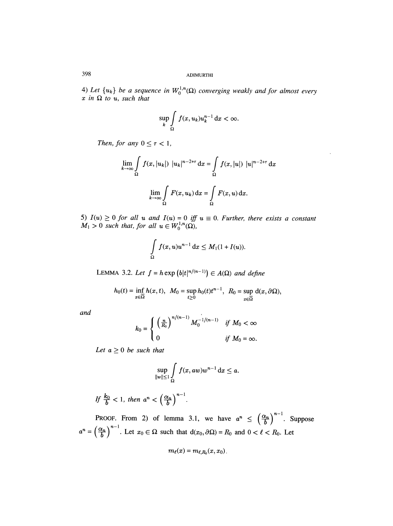4) Let  $\{u_k\}$  be a sequence in  $W_0^{1,n}(\Omega)$  converging weakly and for almost every x in  $\Omega$  to u, such that

$$
\sup_{k} \int_{\Omega} f(x, u_k) u_k^{n-1} \, \mathrm{d}x < \infty.
$$

Then, for any  $0 \leq \tau < 1$ ,

$$
\lim_{k \to \infty} \int_{\Omega} f(x, |u_k|) |u_k|^{n-2+\tau} dx = \int_{\Omega} f(x, |u|) |u|^{n-2+\tau} dx
$$

$$
\lim_{k \to \infty} \int_{\Omega} F(x, u_k) dx = \int_{\Omega} F(x, u) dx.
$$

5)  $I(u) \geq 0$  for all u and  $I(u) = 0$  iff  $u \equiv 0$ . Further, there exists a constant  $M_1 > 0$  such that, for all  $u \in V$ 

$$
\int_{\Omega} f(x, u)u^{n-1} dx \leq M_1(1 + I(u)).
$$

LEMMA 3.2. Let  $f = h \exp(b|t|^{n/(n-1)}) \in A(\Omega)$  and define

$$
h_0(t) = \inf_{x \in \overline{\Omega}} h(x, t), \quad M_0 = \sup_{t \ge 0} h_0(t) t^{n-1}, \quad R_0 = \sup_{x \in \overline{\Omega}} d(x, \partial \Omega),
$$

and

$$
k_0 = \begin{cases} \left(\frac{n}{R_0}\right)^{n/(n-1)} M_0^{-1/(n-1)} & \text{if } M_0 < \infty \\ 0 & \text{if } M_0 = \infty. \end{cases}
$$

Let  $a \geq 0$  be such that

$$
\sup_{\|w\|\leq 1}\int\limits_{\Omega}f(x,aw)w^{n-1}\,\mathrm{d}x\leq a.
$$

If 
$$
\frac{k_0}{b} < 1
$$
, then  $a^n < \left(\frac{\alpha_n}{b}\right)^{n-1}$ 

PROOF. From 2) of lemma 3.1, we have  $a^n \n\t\leq \left(\frac{\alpha_n}{b}\right)^{n-1}$ . Suppose  $a^n = \left(\frac{\alpha_n}{b}\right)^{n-1}$ . Let  $x_0 \in \Omega$  such that  $d(x_0, \partial \Omega) = R_0$  and  $0 < \ell < R_0$ . Let

$$
m_{\ell}(x)=m_{\ell,R_0}(x,x_0)
$$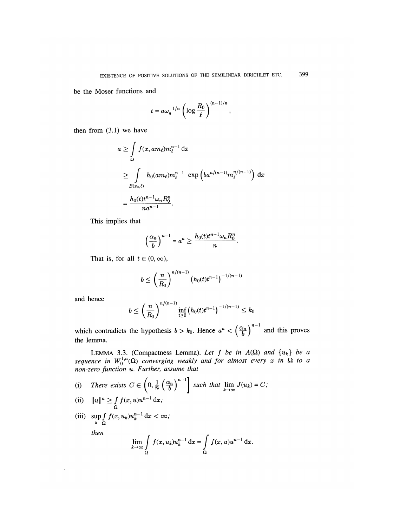$\overline{\phantom{a}}$ 

be the Moser functions and

$$
t = a\omega_n^{-1/n} \left( \log \frac{R_0}{\ell} \right)^{(n-1)/n}
$$

then from  $(3.1)$  we have

$$
a \geq \int\limits_{\Omega} f(x, am_{\ell})m_{\ell}^{n-1} dx
$$
  
\n
$$
\geq \int\limits_{B(x_0,\ell)} h_0(am_{\ell})m_{\ell}^{n-1} \exp\left(ba^{n/(n-1)}m_{\ell}^{n/(n-1)}\right) dx
$$
  
\n
$$
= \frac{h_0(t)t^{n-1}\omega_n R_0^n}{na^{n-1}}.
$$

This implies that

$$
\left(\frac{\alpha_n}{b}\right)^{n-1} = a^n \ge \frac{h_0(t)t^{n-1}\omega_n R_0^n}{n}
$$

That is, for all  $t \in (0, \infty)$ ,

$$
b \leq \left(\frac{n}{R_0}\right)^{n/(n-1)} \left(h_0(t)t^{n-1}\right)^{-1/(n-1)}
$$

and hence

$$
b \leq \left(\frac{n}{R_0}\right)^{n/(n-1)} \inf_{t \geq 0} \left(h_0(t)t^{n-1}\right)^{-1/(n-1)} \leq k_0
$$

which contradicts the hypothesis  $b > k_0$ . Hence  $a^n < \left(\frac{\alpha_n}{b}\right)^{n-1}$  and this proves the lemma.

LEMMA 3.3. (Compactness Lemma). Let f be in  $A(\Omega)$  and  $\{u_k\}$  be a sequence in  $W_0^{1,n}(\Omega)$  converging weakly and for almost every x in  $\Omega$  to a non-zero function u. Further, assume that

- There exists  $C \in \left(0, \frac{1}{n} \left(\frac{\alpha_n}{b}\right)^{n-1}\right]$  such that  $\lim_{k \to \infty} J(u_k) = C$ ;  $(i)$
- $||u||^n \ge \int_{\Omega} f(x, u)u^{n-1} dx;$  $(ii)$
- (iii)  $\sup_{k} \int_{\Omega} f(x, u_k) u_k^{n-1} dx < \infty$ ; then  $\mathbf{r}$

$$
\lim_{k \to \infty} \int\limits_{\Omega} f(x, u_k) u_k^{n-1} \, \mathrm{d}x = \int\limits_{\Omega} f(x, u) u^{n-1} \, \mathrm{d}x
$$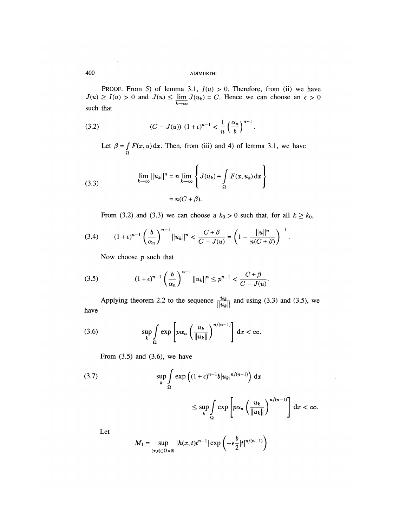PROOF. From 5) of lemma 3.1,  $I(u) > 0$ . Therefore, from (ii) we have  $J(u) \ge I(u) > 0$  and  $J(u) \le \lim_{k \to \infty} J(u_k) = C$ . Hence we can choose an  $\epsilon > 0$ such that

(3.2) 
$$
(C - J(u)) (1 + \epsilon)^{n-1} < \frac{1}{n} \left(\frac{\alpha_n}{b}\right)^{n-1}
$$

Let  $\beta = \int_{\Omega} F(x, u) dx$ . Then, from (iii) and 4) of lemma 3.1, we have

(3.3) 
$$
\lim_{k \to \infty} ||u_k||^n = n \lim_{k \to \infty} \left\{ J(u_k) + \int_{\Omega} F(x, u_k) dx \right\}
$$

$$
= n(C + \beta).
$$

From (3.2) and (3.3) we can choose a  $k_0 > 0$  such that, for all  $k \geq k_0$ ,

$$
(3.4) \qquad (1+\epsilon)^{n-1} \left(\frac{b}{\alpha_n}\right)^{n-1} \|u_k\|^n < \frac{C+\beta}{C-J(u)} = \left(1 - \frac{\|u\|^n}{n(C+\beta)}\right)^{-1}.
$$

Now choose  $p$  such that

(3.5) 
$$
(1+\epsilon)^{n-1} \left(\frac{b}{\alpha_n}\right)^{n-1} \|u_k\|^n \le p^{n-1} < \frac{C+\beta}{C-J(u)}.
$$

Applying theorem 2.2 to the sequence  $\frac{u_k}{\|u_k\|}$  and using (3.3) and (3.5), we have  $\mathbb{I}^{|\omega_{k}|}$ 

$$
(3.6) \qquad \sup_{k} \int_{\Omega} \exp\left[p\alpha_n \left(\frac{u_k}{\|u_k\|}\right)^{n/(n-1)}\right] \, \mathrm{d}x < \infty.
$$

From  $(3.5)$  and  $(3.6)$ , we have

(3.7) 
$$
\sup_{k} \int_{\Omega} \exp \left( (1+\epsilon)^{n-1} b |u_k|^{n/(n-1)} \right) dx
$$

$$
\leq \sup_{k} \int_{\Omega} \exp \left[ p \alpha_n \left( \frac{u_k}{\|u_k\|} \right)^{n/(n-1)} \right] dx < \infty.
$$

Let

$$
M_1 = \sup_{(x,t)\in\overline{\Omega}\times\mathbb{R}} |h(x,t)t^{n-1}| \exp\left(-\epsilon\frac{b}{2}|t|^{n/(n-1)}\right)
$$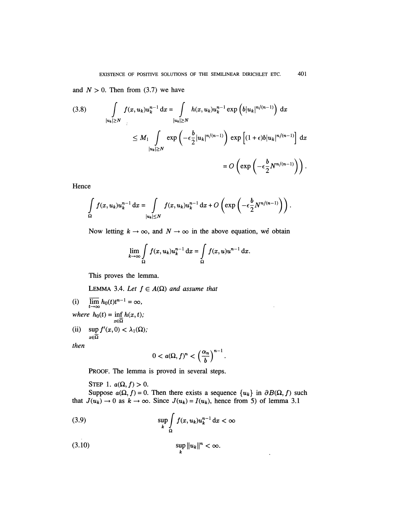and  $N > 0$ . Then from (3.7) we have

$$
(3.8) \qquad \int\limits_{|u_k|\geq N} f(x,u_k)u_k^{n-1} \, \mathrm{d}x = \int\limits_{|u_k|\geq N} h(x,u_k)u_k^{n-1} \exp\left(b|u_k|^{n/(n-1)}\right) \, \mathrm{d}x
$$
\n
$$
\leq M_1 \int\limits_{|u_k|\geq N} \exp\left(-\epsilon \frac{b}{2}|u_k|^{n/(n-1)}\right) \exp\left[(1+\epsilon)b|u_k|^{n/(n-1)}\right] \, \mathrm{d}x
$$
\n
$$
= O\left(\exp\left(-\epsilon \frac{b}{2}N^{n/(n-1)}\right)\right).
$$

Hence

$$
\int_{\Omega} f(x, u_k) u_k^{n-1} dx = \int_{|u_k| \leq N} f(x, u_k) u_k^{n-1} dx + O\left(\exp\left(-\epsilon \frac{b}{2} N^{n/(n-1)}\right)\right).
$$

Now letting  $k \to \infty$ , and  $N \to \infty$  in the above equation, we obtain

$$
\lim_{k \to \infty} \int_{\Omega} f(x, u_k) u_k^{n-1} dx = \int_{\Omega} f(x, u) u^{n-1} dx.
$$

This proves the lemma.

LEMMA 3.4. Let  $f \in A(\Omega)$  and assume that

(i) 
$$
\overline{\lim}_{t \to \infty} h_0(t)t^{n-1} = \infty,
$$
  
where  $h_0(t) = \inf_{x \in \overline{\Omega}} h(x, t);$ 

(ii)  $\sup f'(x,0) < \lambda_1(\Omega)$ ;  $x \in \overline{\Omega}$ 

then

$$
0
$$

PROOF. The lemma is proved in several steps.

STEP 1.  $a(\Omega, f) > 0$ .

Suppose  $a(\Omega, f) = 0$ . Then there exists a sequence  $\{u_k\}$  in  $\partial B(\Omega, f)$  such that  $J(u_k) \to 0$  as  $k \to \infty$ . Since  $J(u_k) = I(u_k)$ , hence from 5) of lemma 3.1

 $\ddot{\phantom{0}}$ 

(3.9) 
$$
\sup_{k} \int_{\Omega} f(x, u_k) u_k^{n-1} dx < \infty
$$

$$
\sup_{k} \|u_k\|^n < \infty.
$$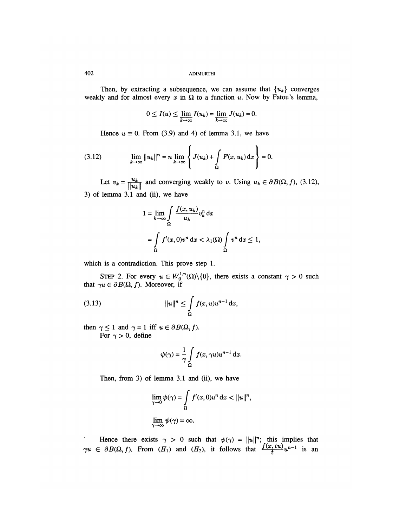Then, by extracting a subsequence, we can assume that  $\{u_k\}$  converges weakly and for almost every  $x$  in  $\Omega$  to a function u. Now by Fatou's lemma,

$$
0 \leq I(u) \leq \lim_{k \to \infty} I(u_k) = \lim_{k \to \infty} J(u_k) = 0.
$$

Hence  $u \equiv 0$ . From (3.9) and 4) of lemma 3.1, we have

(3.12) 
$$
\lim_{k \to \infty} ||u_k||^n = n \lim_{k \to \infty} \left\{ J(u_k) + \int_{\Omega} F(x, u_k) dx \right\} = 0.
$$

Let  $v_k = \frac{u_k}{\|u_k\|}$  and converging weakly to v. Using  $u_k \in \partial B(\Omega, f)$ , (3.12), 3) of lemma 3.1 and (ii), we have

$$
1 = \lim_{k \to \infty} \int_{\Omega} \frac{f(x, u_k)}{u_k} v_k^n dx
$$
  
= 
$$
\int_{\Omega} f'(x, 0)v^n dx < \lambda_1(\Omega) \int_{\Omega} v^n dx \le 1,
$$

which is a contradiction. This prove step 1.

STEP 2. For every  $u \in W_0^{\gamma,\mu}(\Omega) \setminus \{0\}$ , there exists a constant  $\gamma > 0$  such that  $\gamma u \in \partial B(\Omega, f)$ . Moreover, if

then  $\gamma \leq 1$  and  $\gamma = 1$  iff  $u \in \partial B(\Omega, f)$ . For  $\gamma > 0$ , define

$$
\psi(\gamma) = \frac{1}{\gamma} \int\limits_{\Omega} f(x, \gamma u) u^{n-1} \, \mathrm{d}x.
$$

Then, from 3) of lemma 3.1 and (ii), we have

$$
\lim_{\gamma \to 0} \psi(\gamma) = \int_{\Omega} f'(x, 0) u^n \, \mathrm{d}x < \|u\|^n,
$$
\n
$$
\lim_{\gamma \to \infty} \psi(\gamma) = \infty.
$$

Hence there exists  $\gamma > 0$  such that  $\psi(\gamma) = ||u||^n$ ; this implies that  $\gamma u \in \partial B(\Omega, f)$ . From  $(H_1)$  and  $(H_2)$ , it follows that  $\frac{f(x), \alpha u}{f} u^{n-1}$  is an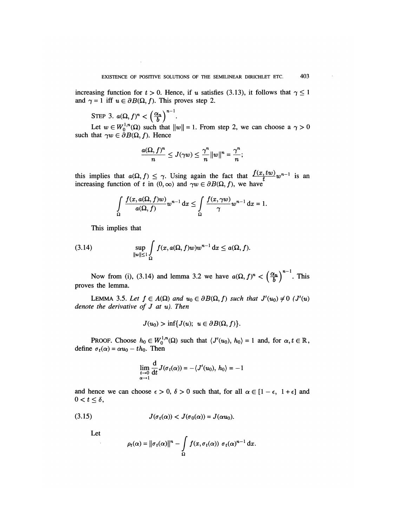increasing function for  $t > 0$ . Hence, if u satisfies (3.13), it follows that  $\gamma \le 1$ and  $\gamma = 1$  iff  $u \in \partial B(\Omega, f)$ . This proves step 2.

STEP 3.  $a(\Omega, f)^n < \left(\frac{\alpha_n}{b}\right)^{n-1}$ .

Let  $w \in W_0^{1,n}(\Omega)$  such that  $||w|| = 1$ . From step 2, we can choose a  $\gamma > 0$ such that  $\gamma w \in \partial B(\Omega, f)$ . Hence

$$
\frac{a(\Omega, f)^n}{n} \leq J(\gamma w) \leq \frac{\gamma^n}{n} ||w||^n = \frac{\gamma^n}{n};
$$

this implies that  $a(\Omega, f) \leq \gamma$ . Using again the fact that  $\frac{a(\Sigma, \Sigma, \Sigma)}{t} w^{n-1}$  is an increasing function of t in  $(0, \infty)$  and  $\gamma w \in \partial B(\Omega, f)$ , we have

$$
\int_{\Omega} \frac{f(x, a(\Omega, f)w)}{a(\Omega, f)} w^{n-1} dx \leq \int_{\Omega} \frac{f(x, \gamma w)}{\gamma} w^{n-1} dx = 1.
$$

This implies that

(3.14) 
$$
\sup_{\|w\|\leq 1} \int\limits_{\Omega} f(x, a(\Omega, f)w)w^{n-1} dx \leq a(\Omega, f).
$$

Now from (i), (3.14) and lemma 3.2 we have  $a(\Omega, f)^n < \left(\frac{\alpha_n}{b}\right)^{n-1}$ . This proves the lemma.

LEMMA 3.5. Let  $f \in A(\Omega)$  and  $u_0 \in \partial B(\Omega, f)$  such that  $J'(u_0) \neq 0$  ( $J'(u)$ ) denote the derivative of  $J$  at  $u$ ). Then

$$
J(u_0) > \inf\{J(u); u \in \partial B(\Omega, f)\}.
$$

PROOF. Choose  $h_0 \in W_0^{1,n}(\Omega)$  such that  $\langle J'(u_0), h_0 \rangle = 1$  and, for  $\alpha, t \in \mathbb{R}$ , define  $\sigma_t(\alpha) = \alpha u_0 - th_0$ . Then

$$
\lim_{\substack{t\to 0\\ \alpha\to 1}}\frac{\mathrm{d}}{\mathrm{d}t}J(\sigma_t(\alpha))=-\langle J'(u_0),\ h_0\rangle=-1
$$

and hence we can choose  $\epsilon > 0$ ,  $\delta > 0$  such that, for all  $\alpha \in [1 - \epsilon, 1 + \epsilon]$  and  $0 < t \leq \delta$ ,

$$
(3.15) \tJ(\sigma_t(\alpha)) < J(\sigma_0(\alpha)) = J(\alpha u_0).
$$

Let

$$
\rho_t(\alpha) = \|\sigma_t(\alpha)\|^n - \int\limits_{\Omega} f(x, \sigma_t(\alpha)) \sigma_t(\alpha)^{n-1} dx.
$$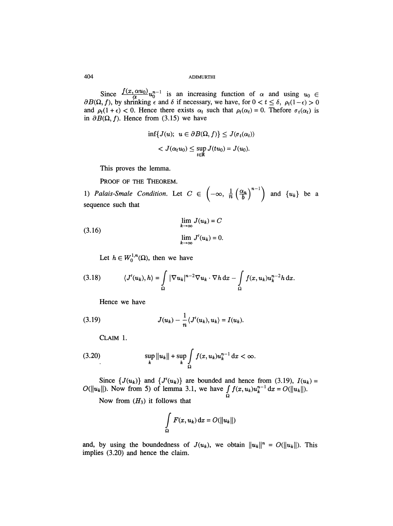Since  $\frac{1}{\alpha} \frac{\alpha}{\alpha} \frac{\alpha}{\alpha} u_0^{n-1}$  is an increasing function of  $\alpha$  and using  $u_0 \in$ f), by shrinking  $\epsilon$  and  $\delta$  if necessary, we have, for  $0 < t \leq \delta$ ,  $\rho_t(1-\epsilon) > 0$ and  $\rho_t(1+\epsilon)$  < 0. Hence there exists  $\alpha_t$  such that  $\rho_t(\alpha_t) = 0$ . Thefore  $\sigma_t(\alpha_t)$  is in  $\partial B(\Omega, f)$ . Hence from (3.15) we have

$$
\inf\{J(u); u \in \partial B(\Omega, f)\} \leq J(\sigma_t(\alpha_t))
$$
  

$$
< J(\alpha_t u_0) \leq \sup_{t \in \mathbb{R}} J(tu_0) = J(u_0).
$$

This proves the lemma.

PROOF OF THE THEOREM.

1) Palais-Smale Condition. Let  $C \in \left(-\infty, \frac{1}{n} \left(\frac{\alpha_n}{b}\right)^{n-1}\right)$  and  $\{u_k\}$  be a sequence such that

(3.16) 
$$
\lim_{k \to \infty} J(u_k) = C
$$

$$
\lim_{k \to \infty} J'(u_k) = 0
$$

Let  $h \in W_0^{1,n}(\Omega)$ , then we have

(3.18) 
$$
\langle J'(u_k), h \rangle = \int_{\Omega} |\nabla u_k|^{n-2} \nabla u_k \cdot \nabla h \, dx - \int_{\Omega} f(x, u_k) u_k^{n-2} h \, dx.
$$

Hence we have

(3.19) 
$$
J(u_k) - \frac{1}{n} \langle J'(u_k), u_k \rangle = I(u_k).
$$

CLAIM 1.

(3.20) 
$$
\sup_{k} ||u_k|| + \sup_{k} \int_{\Omega} f(x, u_k) u_k^{n-1} dx < \infty.
$$

Since  $\{J(u_k)\}\$ and  $\{J'(u_k)\}\$ are bounded and hence from (3.19),  $I(u_k) =$ Now from 5) of lemma 3.1, we have .<br>Ω

Now from  $(H_3)$  it follows that

$$
\int_{\Omega} F(x, u_k) \, \mathrm{d}x = O(||u_k||)
$$

and, by using the boundedness of  $J(u_k)$ , we obtain  $||u_k||^n = O(||u_k||)$ . This implies (3.20) and hence the claim.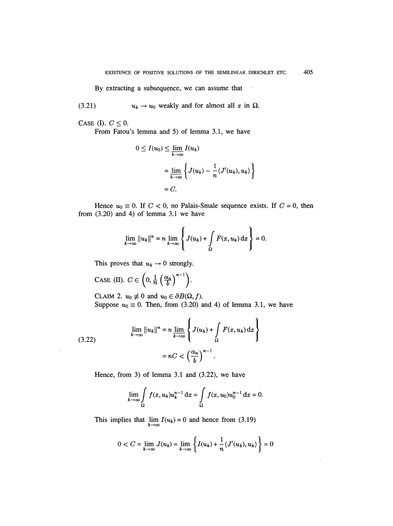By extracting a subsequence, we can assume that

(3.21)  $u_k \to u_0$  weakly and for almost all x in  $\Omega$ .

CASE (I).  $C \leq 0$ .

 $\bar{z}$ 

From Fatou's lemma and 5) of lemma 3.1, we have

$$
0 \le I(u_0) \le \lim_{k \to \infty} I(u_k)
$$
  
= 
$$
\lim_{k \to \infty} \left\{ J(u_k) - \frac{1}{n} \langle J'(u_k), u_k \rangle \right\}
$$
  
= C.

Hence  $u_0 \equiv 0$ . If  $C < 0$ , no Palais-Smale sequence exists. If  $C = 0$ , then from (3.20) and 4) of lemma 3.1 we have

$$
\lim_{k\to\infty}||u_k||^n=n\lim_{k\to\infty}\left\{J(u_k)+\int_{\Omega}F(x,u_k)\,\mathrm{d}x\right\}=0.
$$

This proves that  $u_k \rightarrow 0$  strongly.

CASE (II). 
$$
C \in \left(0, \frac{1}{n} \left(\frac{\alpha_n}{b}\right)^{n-1}\right)
$$
.

CLAIM 2.  $u_0 \neq 0$  and  $u_0 \in \partial B(\Omega, f)$ . Suppose  $u_0 \equiv 0$ . Then, from (3.20) and 4) of lemma 3.1, we have

(3.22) 
$$
\lim_{k \to \infty} ||u_k||^n = n \lim_{k \to \infty} \left\{ J(u_k) + \int_{\Omega} F(x, u_k) dx \right\}
$$

$$
= nC < \left(\frac{\alpha_n}{b}\right)^{n-1}.
$$

Hence, from 3) of lemma 3,1 and (3.22), we have

$$
\lim_{k \to \infty} \int_{\Omega} f(x, u_k) u_k^{n-1} dx = \int_{\Omega} f(x, u_0) u_0^{n-1} dx = 0.
$$

This implies that  $\lim_{k \to \infty} I(u_k) = 0$  and hence from (3.19)

$$
0 < C = \lim_{k \to \infty} J(u_k) = \lim_{k \to \infty} \left\{ I(u_k) + \frac{1}{n} \langle J'(u_k), u_k \rangle \right\} = 0
$$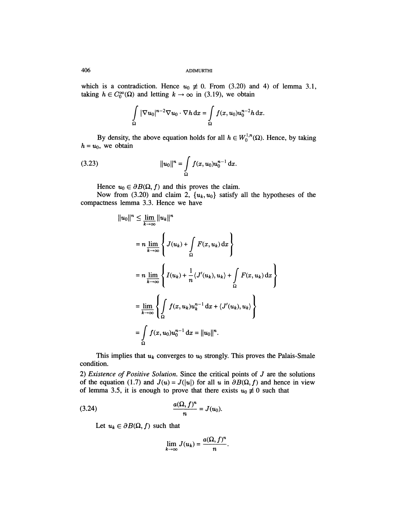which is a contradiction. Hence  $u_0 \neq 0$ . From (3.20) and 4) of lemma 3.1, taking  $h \in C_0^{\infty}(\Omega)$  and letting  $k \to \infty$  in (3.19), we obtain

$$
\int_{\Omega} |\nabla u_0|^{n-2} \nabla u_0 \cdot \nabla h \,dx = \int_{\Omega} f(x, u_0) u_0^{n-2} h \,dx.
$$

By density, the above equation holds for all  $h \in W_0^{1,n}(\Omega)$ . Hence, by taking  $h = u_0$ , we obtain

(3.23) 
$$
||u_0||^n = \int_{\Omega} f(x, u_0) u_0^{n-1} dx.
$$

Hence  $u_0 \in \partial B(\Omega, f)$  and this proves the claim.

Now from (3.20) and claim 2,  $\{u_k, u_0\}$  satisfy all the hypotheses of the compactness lemma 3.3. Hence we have

$$
||u_0||^n \leq \lim_{k \to \infty} ||u_k||^n
$$
  
=  $n \lim_{k \to \infty} \left\{ J(u_k) + \int_{\Omega} F(x, u_k) dx \right\}$   
=  $n \lim_{k \to \infty} \left\{ I(u_k) + \frac{1}{n} \langle J'(u_k), u_k \rangle + \int_{\Omega} F(x, u_k) dx \right\}$   
=  $\lim_{k \to \infty} \left\{ \int_{\Omega} f(x, u_k) u_k^{n-1} dx + \langle J'(u_k), u_k \rangle \right\}$   
=  $\int_{\Omega} f(x, u_0) u_0^{n-1} dx = ||u_0||^n$ .

This implies that  $u_k$  converges to  $u_0$  strongly. This proves the Palais-Smale condition.

2) Existence of Positive Solution. Since the critical points of  $J$  are the solutions of the equation (1.7) and  $J(u) = J(|u|)$  for all u in  $\partial B(\Omega, f)$  and hence in view of lemma 3.5, it is enough to prove that there exists  $u_0 \neq 0$  such that

(3.24) 
$$
\frac{a(\Omega, f)^n}{n} = J(u_0).
$$

Let  $u_k \in \partial B(\Omega, f)$  such that

$$
\lim_{k\to\infty}J(u_k)=\frac{a(\Omega,f)^n}{n}.
$$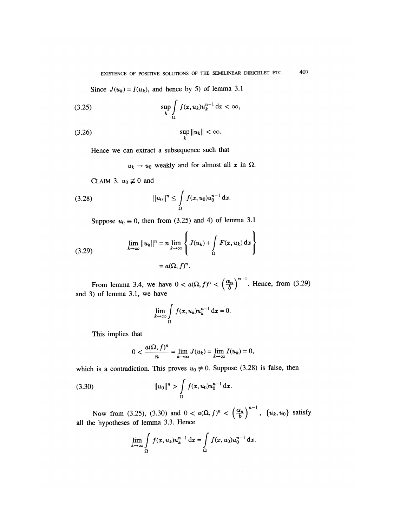Since  $J(u_k) = I(u_k)$ , and hence by 5) of lemma 3.1

$$
\sup_{k} \int_{\Omega} f(x, u_k) u_k^{n-1} \, \mathrm{d}x < \infty,
$$

$$
\sup_{k} \|u_k\| < \infty.
$$

Hence we can extract a subsequence such that

 $u_k \rightarrow u_0$  weakly and for almost all x in  $\Omega$ .

CLAIM 3.  $u_0 \neq 0$  and

(3.28) 
$$
||u_0||^n \leq \int_{\Omega} f(x, u_0) u_0^{n-1} dx.
$$

Suppose  $u_0 \equiv 0$ , then from (3.25) and 4) of lemma 3.1

(3.29) 
$$
\lim_{k \to \infty} ||u_k||^n = n \lim_{k \to \infty} \left\{ J(u_k) + \int_{\Omega} F(x, u_k) dx \right\}
$$

$$
= a(\Omega, f)^n.
$$

From lemma 3.4, we have  $0 < a(\Omega, f)^n < \left(\frac{\alpha_n}{b}\right)^{n-1}$ . Hence, from (3.29) and 3) of lemma 3.1, we have

$$
\lim_{k \to \infty} \int_{\Omega} f(x, u_k) u_k^{n-1} \, \mathrm{d}x = 0.
$$

This implies that

$$
0 < \frac{a(\Omega, f)^n}{n} = \lim_{k \to \infty} J(u_k) = \lim_{k \to \infty} I(u_k) = 0,
$$

which is a contradiction. This proves  $u_0 \neq 0$ . Suppose (3.28) is false, then

(3.30) 
$$
||u_0||^n > \int_{\Omega} f(x, u_0) u_0^{n-1} dx.
$$

Now from (3.25), (3.30) and  $0 < a(\Omega, f)^n < \left(\frac{\alpha_n}{b}\right)$ ,  $\{u_k, u_0\}$  satisfy all the hypotheses of lemma 3.3. Hence

$$
\lim_{k \to \infty} \int_{\Omega} f(x, u_k) u_k^{n-1} dx = \int_{\Omega} f(x, u_0) u_0^{n-1} dx.
$$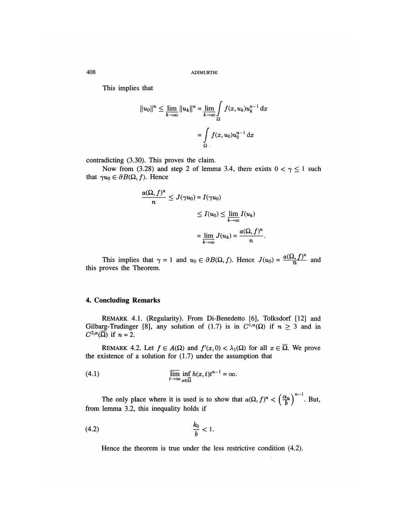This implies that

$$
||u_0||^n \le \lim_{k \to \infty} ||u_k||^n = \lim_{k \to \infty} \int_{\Omega} f(x, u_k) u_k^{n-1} dx
$$

$$
= \int_{\Omega} f(x, u_0) u_0^{n-1} dx
$$

contradicting (3.30). This proves the claim.

Now from (3.28) and step 2 of lemma 3.4, there exists  $0 < \gamma \le 1$  such that  $\gamma u_0 \in \partial B(\Omega, f)$ . Hence

$$
\frac{a(\Omega, f)^n}{n} \le J(\gamma u_0) = I(\gamma u_0)
$$
  

$$
\le I(u_0) \le \lim_{k \to \infty} I(u_k)
$$
  

$$
= \lim_{k \to \infty} J(u_k) = \frac{a(\Omega, f)^n}{n}
$$

 $=\lim_{k\to\infty} J(u_k) = \frac{1}{n}$ .<br>This implies that  $\gamma = 1$  and  $u_0 \in \partial B(\Omega, f)$ . Hence  $J(u_0) = \frac{a(\Omega, f)^n}{n}$  and this proves the Theorem.

#### 4. Concluding Remarks

REMARK 4.1. (Regularity). From Di-Benedetto [6], Tolksdorf [12] and Gilbarg-Trudinger [8], any solution of (1.7) is in  $C^{1,\alpha}(\Omega)$  if  $n \geq 3$  and in  $C^{2,\alpha}(\overline{\Omega})$  if  $n = 2$ .

REMARK 4.2. Let  $f \in A(\Omega)$  and  $f'(x,0) < \lambda_1(\Omega)$  for all  $x \in \overline{\Omega}$ . We prove the existence of a solution for  $(1.7)$  under the assumption that

(4.1) 
$$
\overline{\lim}_{t \to \infty} \inf_{x \in \overline{\Omega}} h(x, t) t^{n-1} = \infty.
$$

The only place where it is used is to show that  $a(\Omega, f)^n < \left(\frac{\alpha_n}{b}\right)^{n-1}$ . But, from lemma 3.2, this inequality holds if

$$
\frac{k_0}{b} < 1.
$$

Hence the theorem is true under the less restrictive condition (4.2).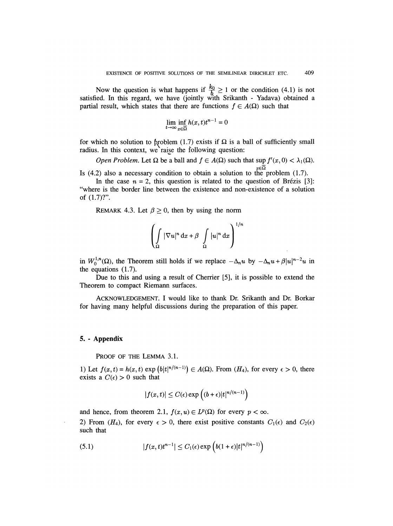Now the question is what happens if  $\frac{k_0}{b} \ge 1$  or the condition (4.1) is not satisfied. In this regard, we have (jointly with Srikanth - Yadava) obtained a partial result, which states that there are functions  $f \in A(\Omega)$  such that

$$
\lim_{t \to \infty} \inf_{x \in \overline{\Omega}} h(x, t) t^{n-1} = 0
$$

for which no solution to problem (1.7) exists if  $\Omega$  is a ball of sufficiently small radius. In this context, we raise the following question:

Open Problem. Let  $\Omega$  be a ball and  $f \in A(\Omega)$  such that sup  $f'(x, 0) < \lambda_1(\Omega)$ . Is (4.2) also a necessary condition to obtain a solution to the problem (1.7).

In the case  $n = 2$ , this question is related to the question of Brézis [3]: "where is the border line between the existence and non-existence of a solution of (1.7)?".

REMARK 4.3. Let  $\beta \ge 0$ , then by using the norm

$$
\left(\int_{\Omega} |\nabla u|^n \, \mathrm{d}x + \beta \int_{\Omega} |u|^n \, \mathrm{d}x\right)^{1/n}
$$

in  $W_0^{1,n}(\Omega)$ , the Theorem still holds if we replace  $-\Delta_n u$  by  $-\Delta_n u + \beta |u|^{n-2}u$  in the equations (1.7).

Due to this and using a result of Cherrier [5], it is possible to extend the Theorem to compact Riemann surfaces.

ACKNOWLEDGEMENT. I would like to thank Dr. Srikanth and Dr. Borkar for having many helpful discussions during the preparation of this paper.

#### 5. - Appendix

PROOF OF THE LEMMA 3.1.

1) Let  $f(x, t) = h(x, t) \exp (h|t|^{n/(n-1)}) \in A(\Omega)$ . From  $(H_4)$ , for every  $\epsilon > 0$ , there exists a  $C(\epsilon) > 0$  such that

$$
|f(x,t)| \leq C(\epsilon) \exp\left((b+\epsilon)|t|^{n/(n-1)}\right)
$$

and hence, from theorem 2.1,  $f(x, u) \in L^p(\Omega)$  for every  $p < \infty$ . 2) From  $(H_4)$ , for every  $\epsilon > 0$ , there exist positive constants  $C_1(\epsilon)$  and  $C_2(\epsilon)$ such that

(5.1) 
$$
|f(x,t)t^{n-1}| \leq C_1(\epsilon) \exp\left(b(1+\epsilon)|t|^{n/(n-1)}\right)
$$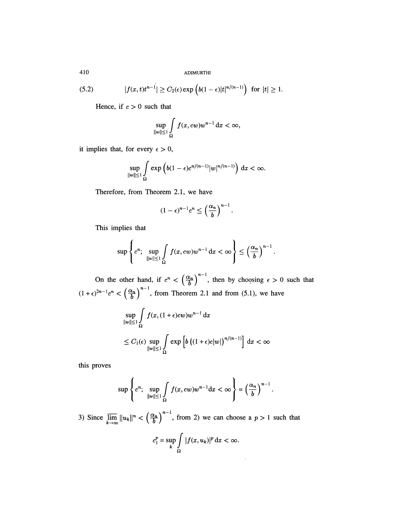(5.2) 
$$
|f(x,t)t^{n-1}| \geq C_2(\epsilon) \exp\left(b(1-\epsilon)|t|^{n/(n-1)}\right) \text{ for } |t| \geq 1.
$$

Hence, if  $c > 0$  such that

$$
\sup_{\|w\|\leq 1}\int\limits_{\Omega}f(x,cw)w^{n-1}\,\mathrm{d}x<\infty,
$$

it implies that, for every  $\epsilon > 0$ ,

$$
\sup_{\|w\|\leq 1}\int\limits_{\Omega}\exp\left(b(1-\epsilon)c^{n/(n-1)}|w|^{n/(n-1)}\right)\,\mathrm{d}x<\infty.
$$

Therefore, from Theorem 2.1, we have

$$
(1-\epsilon)^{n-1}c^n \le \left(\frac{\alpha_n}{b}\right)^{n-1}
$$

This implies that

 $\overline{a}$ 

$$
\sup\left\{c^n;\ \sup_{\|w\|\leq 1}\int\limits_{\Omega}f(x,cw)w^{n-1}\,\mathrm{d}x<\infty\right\}\leq\left(\frac{\alpha_n}{b}\right)^{n-1}.
$$

On the other hand, if  $c^n < \left( \frac{\alpha_n}{b} \right)$ , then by choosing  $\epsilon > 0$  such that  $(1 + \epsilon)^{2n-1}c^n < \left(\frac{\alpha_n}{b}\right)$ , from Theorem 2.1 and from (5.1), we have

$$
\sup_{\|w\| \le 1} \int_{\Omega} f(x, (1+\epsilon)cw)w^{n-1} dx
$$
  
\n
$$
\le C_1(\epsilon) \sup_{\|w\| \le 1} \int_{\Omega} \exp \left[ b \left( (1+\epsilon)c|w| \right)^{n/(n-1)} \right] dx < \infty
$$

this proves

$$
\sup \left\{ c^n; \sup_{\|w\| \leq 1} \int\limits_{\Omega} f(x, cw) w^{n-1} \mathrm{d}x < \infty \right\} = \left( \frac{\alpha_n}{b} \right)^{n-1}.
$$

3) Since  $\lim_{k\to\infty}||u_k||^n < \left(\frac{\alpha_n}{b}\right)$  , from 2) we can choose a  $p > 1$  such that

$$
c_1^p = \sup_k \int\limits_{\Omega} |f(x, u_k)|^p \, \mathrm{d}x < \infty.
$$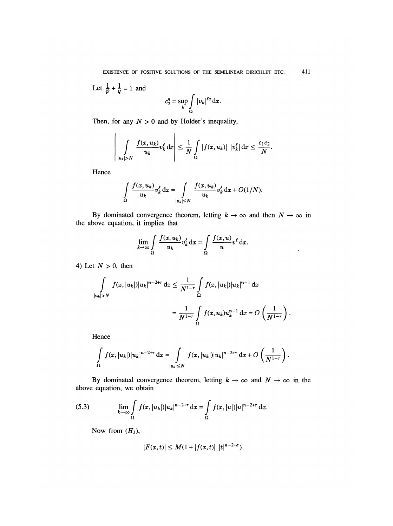411 EXISTENCE OF POSITIVE SOLUTIONS OF THE SEMILINEAR DIRICHLET ETC.

Let 
$$
\frac{1}{p} + \frac{1}{q} = 1
$$
 and  

$$
c_2^q = \sup_k \int_{\Omega} |v_k|^{lq} dx.
$$

Then, for any  $N > 0$  and by Holder's inequality,

$$
\left|\int\limits_{|u_k|>N}\frac{f(x,u_k)}{u_k}v_k^{\ell}\,\mathrm{d}x\right|\leq \frac{1}{N}\int\limits_{\Omega}|f(x,u_k)|\,|v_k^{\ell}|\,\mathrm{d}x\leq \frac{c_1c_2}{N}.
$$

Hence

$$
\int_{\Omega} \frac{f(x, u_k)}{u_k} v_k^{\ell} dx = \int_{|u_k| \le N} \frac{f(x, u_k)}{u_k} v_k^{\ell} dx + O(1/N).
$$

By dominated convergence theorem, letting  $k \to \infty$  and then  $N \to \infty$  in the above equation, it implies that

$$
\lim_{k \to \infty} \int_{\Omega} \frac{f(x, u_k)}{u_k} v_k^{\ell} dx = \int_{\Omega} \frac{f(x, u)}{u} v^{\ell} dx.
$$

 $\bullet$ 

 $\langle \cdot \rangle$ 

4) Let  $N > 0$ , then

$$
\int_{|u_k|>N} f(x, |u_k|)|u_k|^{n-2+\tau} dx \le \frac{1}{N^{1-\tau}} \int_{\Omega} f(x, |u_k|)|u_k|^{n-1} dx
$$

$$
= \frac{1}{N^{1-\tau}} \int_{\Omega} f(x, u_k) u_k^{n-1} dx = O\left(\frac{1}{N^{1-\tau}}\right)
$$

Hence

$$
\int_{\Omega} f(x, |u_k|) |u_k|^{n-2+\tau} dx = \int_{|u_k| \leq N} f(x, |u_k|) |u_k|^{n-2+\tau} dx + O\left(\frac{1}{N^{1-\tau}}\right).
$$

By dominated convergence theorem, letting  $k \to \infty$  and  $N \to \infty$  in the above equation, we obtain

(5.3) 
$$
\lim_{k \to \infty} \int_{\Omega} f(x, |u_k|) |u_k|^{n-2+\tau} dx = \int_{\Omega} f(x, |u|) |u|^{n-2+\tau} dx.
$$

Now from  $(H_3)$ ,

$$
|F(x,t)| \le M(1+|f(x,t)| |t|^{n-2+\sigma})
$$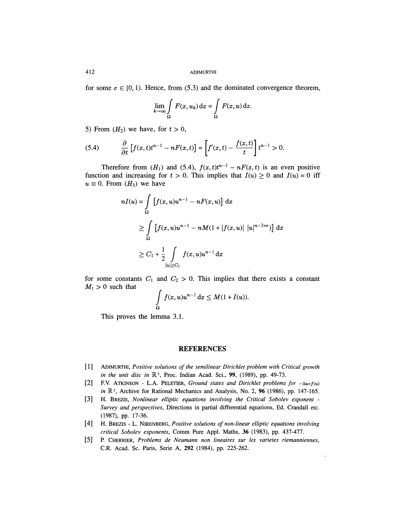for some  $\sigma \in [0, 1)$ . Hence, from (5.3) and the dominated convergence theorem,

$$
\lim_{k \to \infty} \int\limits_{\Omega} F(x, u_k) \, \mathrm{d}x = \int\limits_{\Omega} F(x, u) \, \mathrm{d}x
$$

5) From  $(H_2)$  we have, for  $t > 0$ ,

$$
(5.4) \qquad \frac{\partial}{\partial t}\left[f(x,t)t^{n-1}-nF(x,t)\right]=\left[f'(x,t)-\frac{f(x,t)}{t}\right]t^{n-1}>0.
$$

Therefore from  $(H_1)$  and  $(5.4)$ ,  $f(x,t)t^{n-1} - nF(x,t)$  is an even positive function and increasing for  $t > 0$ . This implies that  $I(u) \ge 0$  and  $I(u) = 0$  iff  $u \equiv 0$ . From  $(H_3)$  we have

$$
nI(u) = \int_{\Omega} \left[ f(x, u)u^{n-1} - nF(x, u) \right] dx
$$
  
\n
$$
\geq \int_{\Omega} \left[ f(x, u)u^{n-1} - nM(1 + |f(x, u)| |u|^{n-2+\sigma}) \right] dx
$$
  
\n
$$
\geq C_1 + \frac{1}{2} \int_{|u| \geq C_2} f(x, u)u^{n-1} dx
$$

for some constants  $C_1$  and  $C_2 > 0$ . This implies that there exists a constant  $M_1 > 0$  such that

$$
\int\limits_{\Omega} f(x, u)u^{n-1} \, \mathrm{d}x \leq M(1 + I(u)).
$$

This proves the lemma 3.1.

#### REFERENCES

- [1] ADIMURTHI, Positive solutions of the semilinear Dirichlet problem with Critical growth in the unit disc in  $\mathbb{R}^2$ , Proc. Indian Acad. Sci., 99, (1989), pp. 49-73.
- [2] F.V. ATKINSON L.A. PELETIER, Ground states and Dirichlet problems for  $-\Delta u=f(u)$ in  $\mathbb{R}^2$ , Archive for Rational Mechanics and Analysis, No. 2, 96 (1986), pp. 147-165.
- [3] H. BREZIS, Nonlinear elliptic equations involving the Critical Sobolev exponent Survey and perspectives, Directions in partial differential equations, Ed. Crandall etc. (1987), pp. 17-36.
- [4] H. BREZIS L. NIRENBERG, Positive solutions of non-linear elliptic equations involving critical Sobolev exponents, Comm Pure Appl. Maths, 36 (1983), pp. 437-477.
- [5] P. CHERRIER, Problems de Neumann non lineaires sur les varietes riemanniennes, C.R. Acad. Sc. Paris, Serie A, 292 (1984), pp. 225-262.